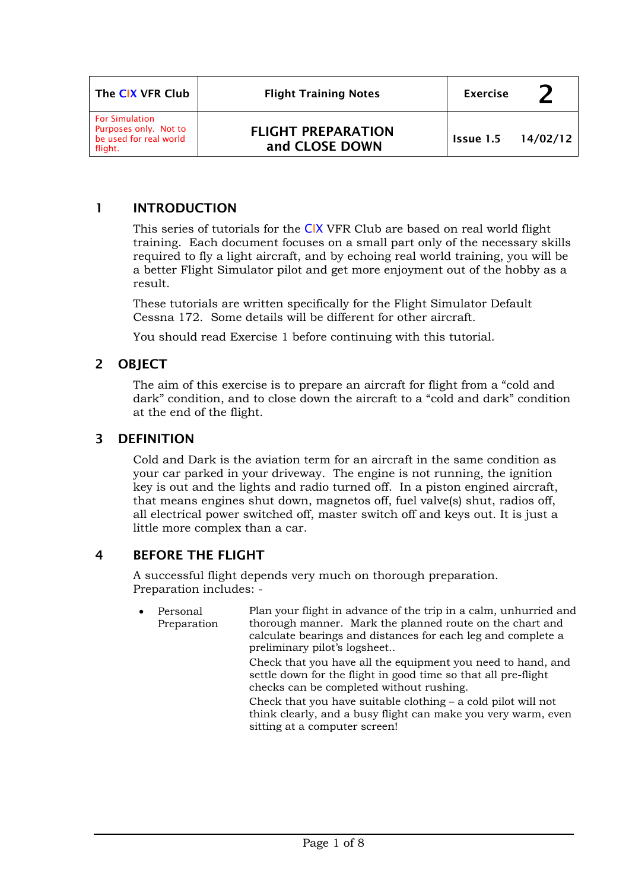| The CIX VFR Club                                                                    | <b>Flight Training Notes</b>                | <b>Exercise</b> |          |
|-------------------------------------------------------------------------------------|---------------------------------------------|-----------------|----------|
| <b>For Simulation</b><br>Purposes only. Not to<br>be used for real world<br>flight. | <b>FLIGHT PREPARATION</b><br>and CLOSE DOWN | Issue 1.5       | 14/02/12 |

## 1 INTRODUCTION

This series of tutorials for the CIX VFR Club are based on real world flight training. Each document focuses on a small part only of the necessary skills required to fly a light aircraft, and by echoing real world training, you will be a better Flight Simulator pilot and get more enjoyment out of the hobby as a result.

These tutorials are written specifically for the Flight Simulator Default Cessna 172. Some details will be different for other aircraft.

You should read Exercise 1 before continuing with this tutorial.

# 2 OBJECT

The aim of this exercise is to prepare an aircraft for flight from a "cold and dark" condition, and to close down the aircraft to a "cold and dark" condition at the end of the flight.

### 3 DEFINITION

Cold and Dark is the aviation term for an aircraft in the same condition as your car parked in your driveway. The engine is not running, the ignition key is out and the lights and radio turned off. In a piston engined aircraft, that means engines shut down, magnetos off, fuel valve(s) shut, radios off, all electrical power switched off, master switch off and keys out. It is just a little more complex than a car.

### 4 BEFORE THE FLIGHT

A successful flight depends very much on thorough preparation. Preparation includes: -

• Personal Preparation Plan your flight in advance of the trip in a calm, unhurried and thorough manner. Mark the planned route on the chart and calculate bearings and distances for each leg and complete a preliminary pilot's logsheet.. Check that you have all the equipment you need to hand, and settle down for the flight in good time so that all pre-flight checks can be completed without rushing. Check that you have suitable clothing – a cold pilot will not think clearly, and a busy flight can make you very warm, even sitting at a computer screen!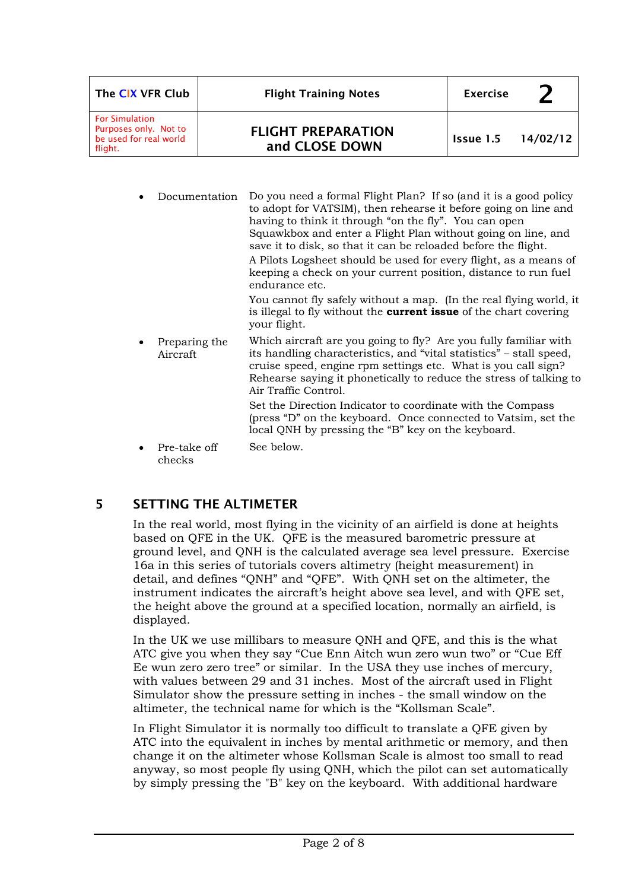| The CIX VFR Club                                                                    | <b>Flight Training Notes</b>                | <b>Exercise</b>    |  |
|-------------------------------------------------------------------------------------|---------------------------------------------|--------------------|--|
| <b>For Simulation</b><br>Purposes only. Not to<br>be used for real world<br>flight. | <b>FLIGHT PREPARATION</b><br>and CLOSE DOWN | Issue 1.5 14/02/12 |  |

• Documentation Do you need a formal Flight Plan? If so (and it is a good policy to adopt for VATSIM), then rehearse it before going on line and having to think it through "on the fly". You can open Squawkbox and enter a Flight Plan without going on line, and save it to disk, so that it can be reloaded before the flight. A Pilots Logsheet should be used for every flight, as a means of keeping a check on your current position, distance to run fuel endurance etc. You cannot fly safely without a map. (In the real flying world, it is illegal to fly without the **current issue** of the chart covering your flight. • Preparing the Aircraft Which aircraft are you going to fly? Are you fully familiar with its handling characteristics, and "vital statistics" – stall speed, cruise speed, engine rpm settings etc. What is you call sign? Rehearse saying it phonetically to reduce the stress of talking to Air Traffic Control. Set the Direction Indicator to coordinate with the Compass (press "D" on the keyboard. Once connected to Vatsim, set the local QNH by pressing the "B" key on the keyboard. Pre-take off checks See below.

# 5 SETTING THE ALTIMETER

In the real world, most flying in the vicinity of an airfield is done at heights based on QFE in the UK. QFE is the measured barometric pressure at ground level, and QNH is the calculated average sea level pressure. Exercise 16a in this series of tutorials covers altimetry (height measurement) in detail, and defines "QNH" and "QFE". With QNH set on the altimeter, the instrument indicates the aircraft's height above sea level, and with QFE set, the height above the ground at a specified location, normally an airfield, is displayed.

In the UK we use millibars to measure QNH and QFE, and this is the what ATC give you when they say "Cue Enn Aitch wun zero wun two" or "Cue Eff Ee wun zero zero tree" or similar. In the USA they use inches of mercury, with values between 29 and 31 inches. Most of the aircraft used in Flight Simulator show the pressure setting in inches - the small window on the altimeter, the technical name for which is the "Kollsman Scale".

In Flight Simulator it is normally too difficult to translate a QFE given by ATC into the equivalent in inches by mental arithmetic or memory, and then change it on the altimeter whose Kollsman Scale is almost too small to read anyway, so most people fly using QNH, which the pilot can set automatically by simply pressing the "B" key on the keyboard. With additional hardware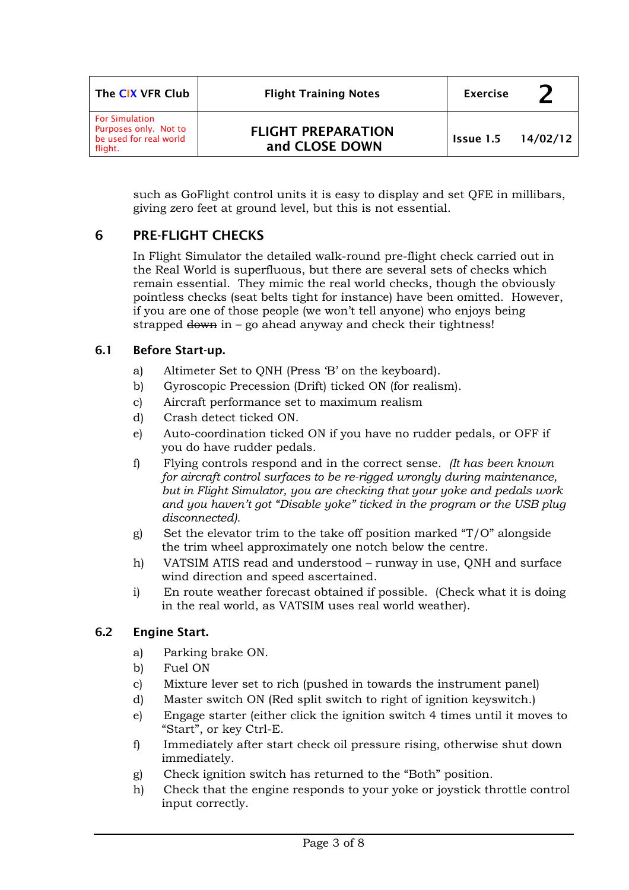| The CIX VFR Club                                                                    | <b>Flight Training Notes</b>                | <b>Exercise</b>             |  |
|-------------------------------------------------------------------------------------|---------------------------------------------|-----------------------------|--|
| <b>For Simulation</b><br>Purposes only. Not to<br>be used for real world<br>flight. | <b>FLIGHT PREPARATION</b><br>and CLOSE DOWN | <b>Issue 1.5</b> $14/02/12$ |  |

such as GoFlight control units it is easy to display and set QFE in millibars, giving zero feet at ground level, but this is not essential.

# 6 PRE-FLIGHT CHECKS

In Flight Simulator the detailed walk-round pre-flight check carried out in the Real World is superfluous, but there are several sets of checks which remain essential. They mimic the real world checks, though the obviously pointless checks (seat belts tight for instance) have been omitted. However, if you are one of those people (we won't tell anyone) who enjoys being strapped  $down$  in – go ahead anyway and check their tightness!

### 6.1 Before Start-up.

- a) Altimeter Set to QNH (Press 'B' on the keyboard).
- b) Gyroscopic Precession (Drift) ticked ON (for realism).
- c) Aircraft performance set to maximum realism
- d) Crash detect ticked ON.
- e) Auto-coordination ticked ON if you have no rudder pedals, or OFF if you do have rudder pedals.
- f) Flying controls respond and in the correct sense. *(It has been known for aircraft control surfaces to be re-rigged wrongly during maintenance, but in Flight Simulator, you are checking that your yoke and pedals work and you haven't got "Disable yoke" ticked in the program or the USB plug disconnected).*
- g) Set the elevator trim to the take off position marked "T/O" alongside the trim wheel approximately one notch below the centre.
- h) VATSIM ATIS read and understood runway in use, QNH and surface wind direction and speed ascertained.
- i) En route weather forecast obtained if possible. (Check what it is doing in the real world, as VATSIM uses real world weather).

### 6.2 Engine Start.

- a) Parking brake ON.
- b) Fuel ON
- c) Mixture lever set to rich (pushed in towards the instrument panel)
- d) Master switch ON (Red split switch to right of ignition keyswitch.)
- e) Engage starter (either click the ignition switch 4 times until it moves to "Start", or key Ctrl-E.
- f) Immediately after start check oil pressure rising, otherwise shut down immediately.
- g) Check ignition switch has returned to the "Both" position.
- h) Check that the engine responds to your yoke or joystick throttle control input correctly.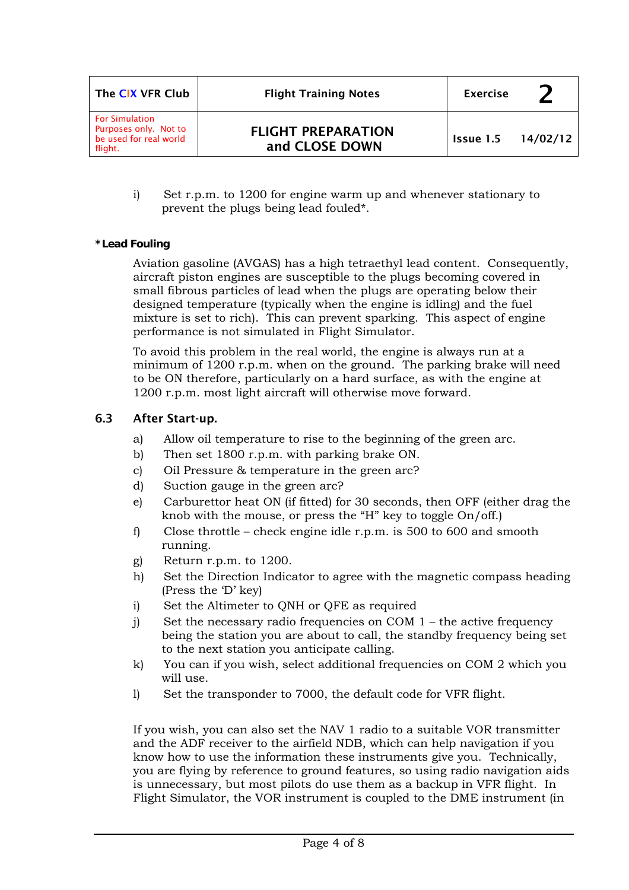| The CIX VFR Club                                                                    | <b>Flight Training Notes</b>                | <b>Exercise</b>             |  |
|-------------------------------------------------------------------------------------|---------------------------------------------|-----------------------------|--|
| <b>For Simulation</b><br>Purposes only. Not to<br>be used for real world<br>flight. | <b>FLIGHT PREPARATION</b><br>and CLOSE DOWN | <b>Issue 1.5</b> $14/02/12$ |  |

i) Set r.p.m. to 1200 for engine warm up and whenever stationary to prevent the plugs being lead fouled\*.

#### **\*Lead Fouling**

Aviation gasoline (AVGAS) has a high tetraethyl lead content. Consequently, aircraft piston engines are susceptible to the plugs becoming covered in small fibrous particles of lead when the plugs are operating below their designed temperature (typically when the engine is idling) and the fuel mixture is set to rich). This can prevent sparking. This aspect of engine performance is not simulated in Flight Simulator.

To avoid this problem in the real world, the engine is always run at a minimum of 1200 r.p.m. when on the ground. The parking brake will need to be ON therefore, particularly on a hard surface, as with the engine at 1200 r.p.m. most light aircraft will otherwise move forward.

#### 6.3 After Start-up.

- a) Allow oil temperature to rise to the beginning of the green arc.
- b) Then set 1800 r.p.m. with parking brake ON.
- c) Oil Pressure & temperature in the green arc?
- d) Suction gauge in the green arc?
- e) Carburettor heat ON (if fitted) for 30 seconds, then OFF (either drag the knob with the mouse, or press the "H" key to toggle On/off.)
- f) Close throttle check engine idle r.p.m. is 500 to 600 and smooth running.
- g) Return r.p.m. to 1200.
- h) Set the Direction Indicator to agree with the magnetic compass heading (Press the 'D' key)
- i) Set the Altimeter to QNH or QFE as required
- j) Set the necessary radio frequencies on COM  $1$  the active frequency being the station you are about to call, the standby frequency being set to the next station you anticipate calling.
- k) You can if you wish, select additional frequencies on COM 2 which you will use.
- l) Set the transponder to 7000, the default code for VFR flight.

If you wish, you can also set the NAV 1 radio to a suitable VOR transmitter and the ADF receiver to the airfield NDB, which can help navigation if you know how to use the information these instruments give you. Technically, you are flying by reference to ground features, so using radio navigation aids is unnecessary, but most pilots do use them as a backup in VFR flight. In Flight Simulator, the VOR instrument is coupled to the DME instrument (in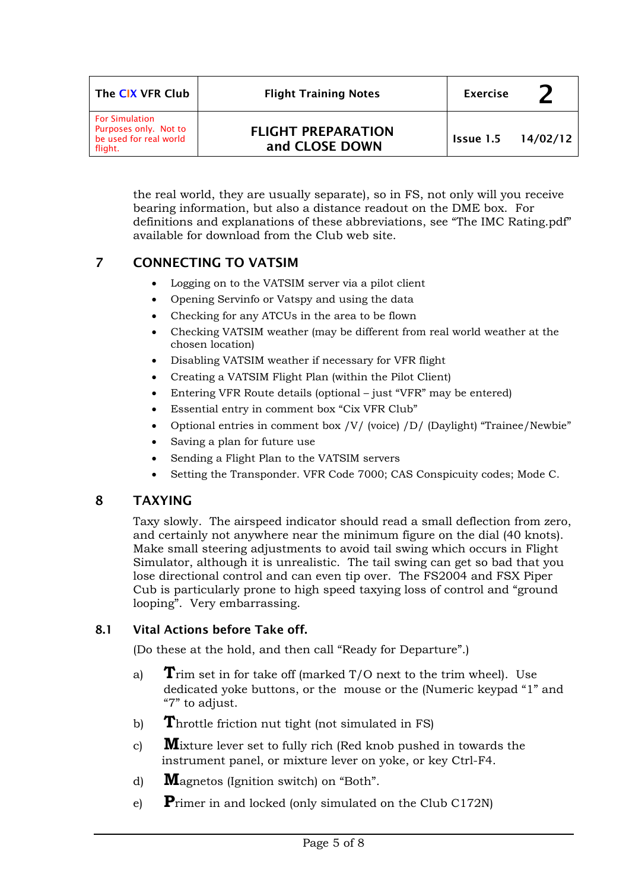| The CIX VFR Club                                                                    | <b>Flight Training Notes</b>                | <b>Exercise</b> |          |
|-------------------------------------------------------------------------------------|---------------------------------------------|-----------------|----------|
| <b>For Simulation</b><br>Purposes only. Not to<br>be used for real world<br>flight. | <b>FLIGHT PREPARATION</b><br>and CLOSE DOWN | Issue 1.5       | 14/02/12 |

the real world, they are usually separate), so in FS, not only will you receive bearing information, but also a distance readout on the DME box. For definitions and explanations of these abbreviations, see "The IMC Rating.pdf" available for download from the Club web site.

# 7 CONNECTING TO VATSIM

- Logging on to the VATSIM server via a pilot client
- Opening Servinfo or Vatspy and using the data
- Checking for any ATCUs in the area to be flown
- Checking VATSIM weather (may be different from real world weather at the chosen location)
- Disabling VATSIM weather if necessary for VFR flight
- Creating a VATSIM Flight Plan (within the Pilot Client)
- Entering VFR Route details (optional just "VFR" may be entered)
- Essential entry in comment box "Cix VFR Club"
- Optional entries in comment box /V/ (voice) /D/ (Daylight) "Trainee/Newbie"
- Saving a plan for future use
- Sending a Flight Plan to the VATSIM servers
- Setting the Transponder. VFR Code 7000; CAS Conspicuity codes; Mode C.

# 8 TAXYING

Taxy slowly. The airspeed indicator should read a small deflection from zero, and certainly not anywhere near the minimum figure on the dial (40 knots). Make small steering adjustments to avoid tail swing which occurs in Flight Simulator, although it is unrealistic. The tail swing can get so bad that you lose directional control and can even tip over. The FS2004 and FSX Piper Cub is particularly prone to high speed taxying loss of control and "ground looping". Very embarrassing.

### 8.1 Vital Actions before Take off.

(Do these at the hold, and then call "Ready for Departure".)

- a) **T**rim set in for take off (marked T/O next to the trim wheel). Use dedicated yoke buttons, or the mouse or the (Numeric keypad "1" and "7" to adjust.
- b) **T**hrottle friction nut tight (not simulated in FS)
- c) **M**ixture lever set to fully rich (Red knob pushed in towards the instrument panel, or mixture lever on yoke, or key Ctrl-F4.
- d) **M**agnetos (Ignition switch) on "Both".
- e) **P**rimer in and locked (only simulated on the Club C172N)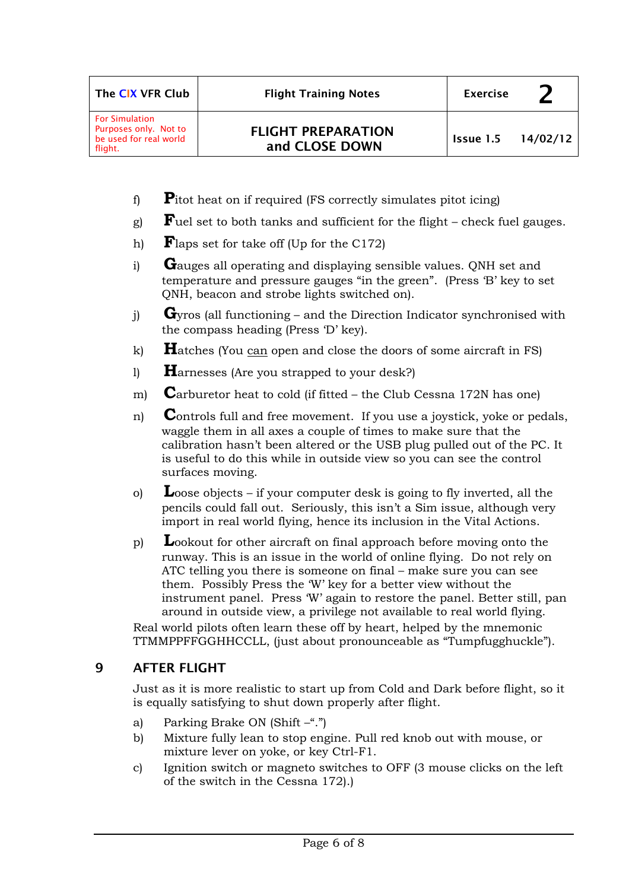| The CIX VFR Club                                                                    | <b>Flight Training Notes</b>                | <b>Exercise</b>    |  |
|-------------------------------------------------------------------------------------|---------------------------------------------|--------------------|--|
| <b>For Simulation</b><br>Purposes only. Not to<br>be used for real world<br>flight. | <b>FLIGHT PREPARATION</b><br>and CLOSE DOWN | Issue 1.5 14/02/12 |  |

- f) **P**itot heat on if required (FS correctly simulates pitot icing)
- g) **F**uel set to both tanks and sufficient for the flight check fuel gauges.
- h) **F**laps set for take off (Up for the C172)
- i) **G**auges all operating and displaying sensible values. QNH set and temperature and pressure gauges "in the green". (Press 'B' key to set QNH, beacon and strobe lights switched on).
- j) **G**yros (all functioning and the Direction Indicator synchronised with the compass heading (Press 'D' key).
- k) **H**atches (You can open and close the doors of some aircraft in FS)
- l) **H**arnesses (Are you strapped to your desk?)
- m) **C**arburetor heat to cold (if fitted the Club Cessna 172N has one)
- n) **C**ontrols full and free movement. If you use a joystick, yoke or pedals, waggle them in all axes a couple of times to make sure that the calibration hasn't been altered or the USB plug pulled out of the PC. It is useful to do this while in outside view so you can see the control surfaces moving.
- o) **L**oose objects if your computer desk is going to fly inverted, all the pencils could fall out. Seriously, this isn't a Sim issue, although very import in real world flying, hence its inclusion in the Vital Actions.
- p) **L**ookout for other aircraft on final approach before moving onto the runway. This is an issue in the world of online flying. Do not rely on ATC telling you there is someone on final – make sure you can see them. Possibly Press the 'W' key for a better view without the instrument panel. Press 'W' again to restore the panel. Better still, pan around in outside view, a privilege not available to real world flying.

Real world pilots often learn these off by heart, helped by the mnemonic TTMMPPFFGGHHCCLL, (just about pronounceable as "Tumpfugghuckle").

# 9 AFTER FLIGHT

Just as it is more realistic to start up from Cold and Dark before flight, so it is equally satisfying to shut down properly after flight.

- a) Parking Brake ON (Shift  $-\tilde{r}$ .")
- b) Mixture fully lean to stop engine. Pull red knob out with mouse, or mixture lever on yoke, or key Ctrl-F1.
- c) Ignition switch or magneto switches to OFF (3 mouse clicks on the left of the switch in the Cessna 172).)